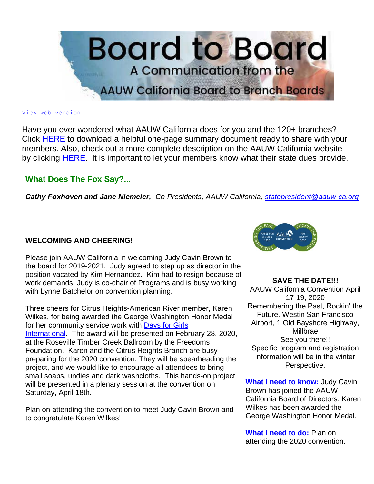

#### [View web version](https://bor.aauw-ca.org/sendy/w/YlrJ763AeyF892b51vFm0EptRw/4FDFL4S593H7oWC6rDwDxg/UHY51loOZIWMLQloxJyhng)

Have you ever wondered what AAUW California does for you and the 120+ branches? Click [HERE](https://bor.aauw-ca.org/sendy/l/YlrJ763AeyF892b51vFm0EptRw/7iA5LPDmNSRWn6B892u8BvyQ/UHY51loOZIWMLQloxJyhng) to download a helpful one-page summary document ready to share with your members. Also, check out a more complete description on the AAUW California website by clicking [HERE.](https://bor.aauw-ca.org/sendy/l/YlrJ763AeyF892b51vFm0EptRw/0zIyYn4R9fjneKaMC1MFJQ/UHY51loOZIWMLQloxJyhng) It is important to let your members know what their state dues provide.

## **What Does The Fox Say?...**

*Cathy Foxhoven and Jane Niemeier, Co-Presidents, AAUW California, [statepresident@aauw-ca.org](mailto:statepresident@aauw-ca.org)*

## **WELCOMING AND CHEERING!**

Please join AAUW California in welcoming Judy Cavin Brown to the board for 2019-2021. Judy agreed to step up as director in the position vacated by Kim Hernandez. Kim had to resign because of work demands. Judy is co-chair of Programs and is busy working with Lynne Batchelor on convention planning.

Three cheers for Citrus Heights-American River member, Karen Wilkes, for being awarded the George Washington Honor Medal for her community service work with [Days for Girls](https://bor.aauw-ca.org/sendy/l/YlrJ763AeyF892b51vFm0EptRw/9RHbxHcJK5tjtNqN9CiWQA/UHY51loOZIWMLQloxJyhng)  [International.](https://bor.aauw-ca.org/sendy/l/YlrJ763AeyF892b51vFm0EptRw/9RHbxHcJK5tjtNqN9CiWQA/UHY51loOZIWMLQloxJyhng) The award will be presented on February 28, 2020, at the Roseville Timber Creek Ballroom by the Freedoms Foundation. Karen and the Citrus Heights Branch are busy preparing for the 2020 convention. They will be spearheading the project, and we would like to encourage all attendees to bring small soaps, undies and dark washcloths. This hands-on project will be presented in a plenary session at the convention on Saturday, April 18th.

Plan on attending the convention to meet Judy Cavin Brown and to congratulate Karen Wilkes!



#### **SAVE THE DATE!!!**

AAUW California Convention April 17-19, 2020 Remembering the Past, Rockin' the Future. Westin San Francisco Airport, 1 Old Bayshore Highway, Millbrae See you there!! Specific program and registration information will be in the winter Perspective.

**What I need to know:** Judy Cavin Brown has joined the AAUW California Board of Directors. Karen Wilkes has been awarded the George Washington Honor Medal.

**What I need to do:** Plan on attending the 2020 convention.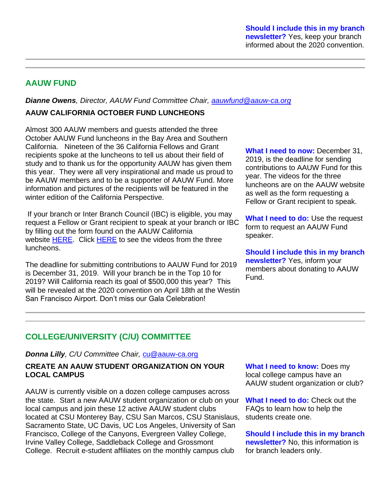# **AAUW FUND**

*Dianne Owens, Director, AAUW Fund Committee Chair, [aauwfund@aauw-ca.org](mailto:aauwfund@aauw-ca.org)*

## **AAUW CALIFORNIA OCTOBER FUND LUNCHEONS**

Almost 300 AAUW members and guests attended the three October AAUW Fund luncheons in the Bay Area and Southern California. Nineteen of the 36 California Fellows and Grant recipients spoke at the luncheons to tell us about their field of study and to thank us for the opportunity AAUW has given them this year. They were all very inspirational and made us proud to be AAUW members and to be a supporter of AAUW Fund. More information and pictures of the recipients will be featured in the winter edition of the California Perspective.

If your branch or Inter Branch Council (IBC) is eligible, you may request a Fellow or Grant recipient to speak at your branch or IBC by filling out the form found on the AAUW California website [HERE.](https://bor.aauw-ca.org/sendy/l/YlrJ763AeyF892b51vFm0EptRw/qsCeWInJsvLM2eqnR892rTdg/UHY51loOZIWMLQloxJyhng) Click [HERE](https://bor.aauw-ca.org/sendy/l/YlrJ763AeyF892b51vFm0EptRw/5QXJxYszCqxa0FRCwxYt6Q/UHY51loOZIWMLQloxJyhng) to see the videos from the three luncheons.

The deadline for submitting contributions to AAUW Fund for 2019 is December 31, 2019. Will your branch be in the Top 10 for 2019? Will California reach its goal of \$500,000 this year? This will be revealed at the 2020 convention on April 18th at the Westin San Francisco Airport. Don't miss our Gala Celebration!

**What I need to now:** December 31, 2019, is the deadline for sending contributions to AAUW Fund for this year. The videos for the three luncheons are on the AAUW website as well as the form requesting a Fellow or Grant recipient to speak.

**What I need to do:** Use the request form to request an AAUW Fund speaker.

**Should I include this in my branch newsletter?** Yes, inform your members about donating to AAUW Fund.

# **COLLEGE/UNIVERSITY (C/U) COMMITTEE**

*Donna Lilly, C/U Committee Chair,* [cu@aauw-ca.org](mailto:cu@aauw-ca.org)

### **CREATE AN AAUW STUDENT ORGANIZATION ON YOUR LOCAL CAMPUS**

AAUW is currently visible on a dozen college campuses across the state. Start a new AAUW student organization or club on your local campus and join these 12 active AAUW student clubs located at CSU Monterey Bay, CSU San Marcos, CSU Stanislaus, Sacramento State, UC Davis, UC Los Angeles, University of San Francisco, College of the Canyons, Evergreen Valley College, Irvine Valley College, Saddleback College and Grossmont College. Recruit e-student affiliates on the monthly campus club

**What I need to know:** Does my local college campus have an AAUW student organization or club?

**What I need to do:** Check out the FAQs to learn how to help the students create one.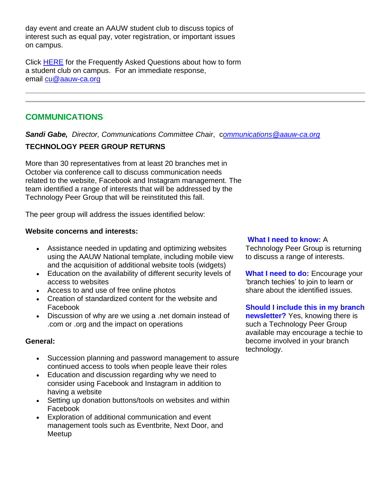day event and create an AAUW student club to discuss topics of interest such as equal pay, voter registration, or important issues on campus.

Click [HERE](https://bor.aauw-ca.org/sendy/l/YlrJ763AeyF892b51vFm0EptRw/I41n6JiGnJ763jptkNvuwvAg/UHY51loOZIWMLQloxJyhng) for the Frequently Asked Questions about how to form a student club on campus. For an immediate response, email [cu@aauw-ca.org](mailto:cu@aauw-ca.org)

# **COMMUNICATIONS**

*Sandi Gabe, Director, Communications Committee Chair*, c*[ommunications@aauw-ca.org](mailto:Communications@aauw-ca.org)*

# **TECHNOLOGY PEER GROUP RETURNS**

More than 30 representatives from at least 20 branches met in October via conference call to discuss communication needs related to the website, Facebook and Instagram management. The team identified a range of interests that will be addressed by the Technology Peer Group that will be reinstituted this fall.

The peer group will address the issues identified below:

## **Website concerns and interests:**

- Assistance needed in updating and optimizing websites using the AAUW National template, including mobile view and the acquisition of additional website tools (widgets)
- Education on the availability of different security levels of access to websites
- Access to and use of free online photos
- Creation of standardized content for the website and Facebook
- Discussion of why are we using a .net domain instead of .com or .org and the impact on operations

## **General:**

- Succession planning and password management to assure continued access to tools when people leave their roles
- Education and discussion regarding why we need to consider using Facebook and Instagram in addition to having a website
- Setting up donation buttons/tools on websites and within Facebook
- Exploration of additional communication and event management tools such as Eventbrite, Next Door, and Meetup

## **What I need to know:** A

Technology Peer Group is returning to discuss a range of interests.

**What I need to do:** Encourage your 'branch techies' to join to learn or share about the identified issues.

**Should I include this in my branch newsletter?** Yes, knowing there is such a Technology Peer Group available may encourage a techie to become involved in your branch technology.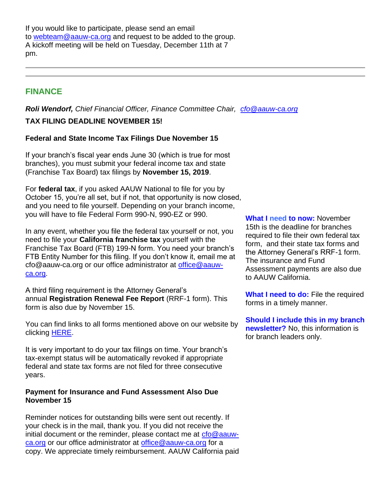If you would like to participate, please send an email to [webteam@aauw-ca.org](mailto:webteam@aauw-ca.org) and request to be added to the group. A kickoff meeting will be held on Tuesday, December 11th at 7 pm.

## **FINANCE**

*Roli Wendorf, Chief Financial Officer, Finance Committee Chair, [cfo@aauw-ca.org](mailto:cfo@aauw-ca.org)* **TAX FILING DEADLINE NOVEMBER 15!**

### **Federal and State Income Tax Filings Due November 15**

If your branch's fiscal year ends June 30 (which is true for most branches), you must submit your federal income tax and state (Franchise Tax Board) tax filings by **November 15, 2019**.

For **federal tax**, if you asked AAUW National to file for you by October 15, you're all set, but if not, that opportunity is now closed, and you need to file yourself. Depending on your branch income, you will have to file Federal Form 990-N, 990-EZ or 990.

In any event, whether you file the federal tax yourself or not, you need to file your **California franchise tax** yourself with the Franchise Tax Board (FTB) 199-N form. You need your branch's FTB Entity Number for this filing. If you don't know it, email me at cfo@aauw-ca.org or our office administrator at [office@aauw](mailto:office@aauw-ca.org)[ca.org.](mailto:office@aauw-ca.org)

A third filing requirement is the Attorney General's annual **Registration Renewal Fee Report** (RRF-1 form). This form is also due by November 15.

You can find links to all forms mentioned above on our website by clicking [HERE.](https://bor.aauw-ca.org/sendy/l/YlrJ763AeyF892b51vFm0EptRw/SQDBkH6I1yfkAlx3G763xI2w/UHY51loOZIWMLQloxJyhng)

It is very important to do your tax filings on time. Your branch's tax-exempt status will be automatically revoked if appropriate federal and state tax forms are not filed for three consecutive years.

#### **Payment for Insurance and Fund Assessment Also Due November 15**

Reminder notices for outstanding bills were sent out recently. If your check is in the mail, thank you. If you did not receive the initial document or the reminder, please contact me at [cfo@aauw](mailto:cfo@aauw-ca.org)[ca.org](mailto:cfo@aauw-ca.org) or our office administrator at [office@aauw-ca.org](mailto:office@aauw-ca.org) for a copy. We appreciate timely reimbursement. AAUW California paid

**What I need to now:** November 15th is the deadline for branches required to file their own federal tax form, and their state tax forms and the Attorney General's RRF-1 form. The insurance and Fund Assessment payments are also due to AAUW California.

**What I need to do:** File the required forms in a timely manner.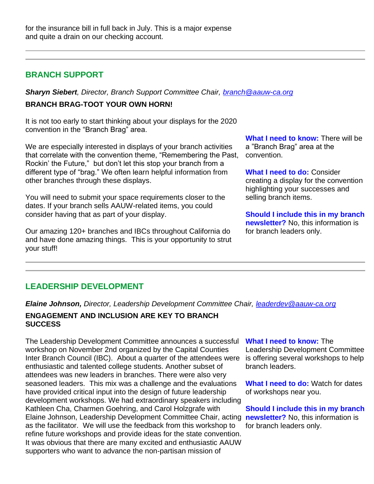## **BRANCH SUPPORT**

*Sharyn Siebert, Director, Branch Support Committee Chair, [branch@aauw-ca.org](mailto:branch@aauw-ca.org)* **BRANCH BRAG-TOOT YOUR OWN HORN!**

It is not too early to start thinking about your displays for the 2020 convention in the "Branch Brag" area.

We are especially interested in displays of your branch activities that correlate with the convention theme, "Remembering the Past, Rockin' the Future," but don't let this stop your branch from a different type of "brag." We often learn helpful information from other branches through these displays.

You will need to submit your space requirements closer to the dates. If your branch sells AAUW-related items, you could consider having that as part of your display.

Our amazing 120+ branches and IBCs throughout California do and have done amazing things. This is your opportunity to strut your stuff!

**What I need to know:** There will be a "Branch Brag" area at the convention.

**What I need to do:** Consider creating a display for the convention highlighting your successes and selling branch items.

**Should I include this in my branch newsletter?** No, this information is for branch leaders only.

# **LEADERSHIP DEVELOPMENT**

*Elaine Johnson, Director, Leadership Development Committee Chair, [leaderdev@aauw-ca.org](mailto:leaderdev@aauw-ca.org)*

### **ENGAGEMENT AND INCLUSION ARE KEY TO BRANCH SUCCESS**

The Leadership Development Committee announces a successful workshop on November 2nd organized by the Capital Counties Inter Branch Council (IBC). About a quarter of the attendees were enthusiastic and talented college students. Another subset of attendees was new leaders in branches. There were also very seasoned leaders. This mix was a challenge and the evaluations have provided critical input into the design of future leadership development workshops. We had extraordinary speakers including Kathleen Cha, Charmen Goehring, and Carol Holzgrafe with Elaine Johnson, Leadership Development Committee Chair, acting **newsletter?** No, this information is as the facilitator. We will use the feedback from this workshop to refine future workshops and provide ideas for the state convention. It was obvious that there are many excited and enthusiastic AAUW supporters who want to advance the non-partisan mission of

#### **What I need to know:** The

Leadership Development Committee is offering several workshops to help branch leaders.

**What I need to do:** Watch for dates of workshops near you.

**Should I include this in my branch**  for branch leaders only.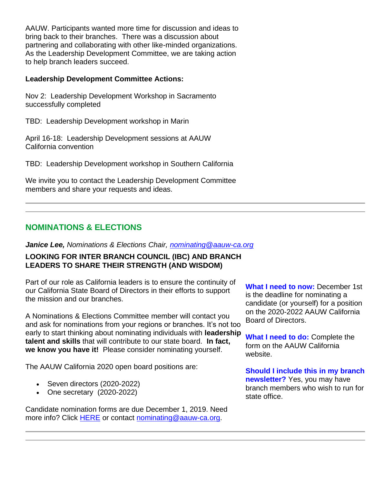AAUW. Participants wanted more time for discussion and ideas to bring back to their branches. There was a discussion about partnering and collaborating with other like-minded organizations. As the Leadership Development Committee, we are taking action to help branch leaders succeed.

#### **Leadership Development Committee Actions:**

Nov 2: Leadership Development Workshop in Sacramento successfully completed

TBD: Leadership Development workshop in Marin

April 16-18: Leadership Development sessions at AAUW California convention

TBD: Leadership Development workshop in Southern California

We invite you to contact the Leadership Development Committee members and share your requests and ideas.

# **NOMINATIONS & ELECTIONS**

*Janice Lee, Nominations & Elections Chair, [nominating@aauw-ca.org](mailto:nominating@aauw-ca.org)*

### **LOOKING FOR INTER BRANCH COUNCIL (IBC) AND BRANCH LEADERS TO SHARE THEIR STRENGTH (AND WISDOM)**

Part of our role as California leaders is to ensure the continuity of our California State Board of Directors in their efforts to support the mission and our branches.

A Nominations & Elections Committee member will contact you and ask for nominations from your regions or branches. It's not too early to start thinking about nominating individuals with **leadership talent and skills** that will contribute to our state board. **In fact, we know you have it!** Please consider nominating yourself.

The AAUW California 2020 open board positions are:

- Seven directors (2020-2022)
- One secretary (2020-2022)

Candidate nomination forms are due December 1, 2019. Need more info? Click [HERE](https://bor.aauw-ca.org/sendy/l/YlrJ763AeyF892b51vFm0EptRw/OxGY40uBtTmOAfopME9OrA/UHY51loOZIWMLQloxJyhng) or contact [nominating@aauw-ca.org.](mailto:nominating@aauw-ca.org)

**What I need to now:** December 1st is the deadline for nominating a candidate (or yourself) for a position on the 2020-2022 AAUW California Board of Directors.

**What I need to do:** Complete the form on the AAUW California website.

**Should I include this in my branch newsletter?** Yes, you may have branch members who wish to run for state office.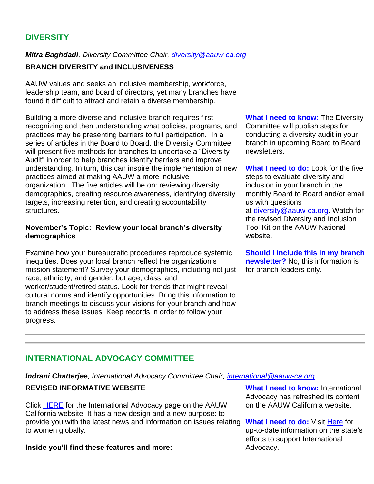# **DIVERSITY**

## *Mitra Baghdadi, Diversity Committee Chair, [diversity@aauw-ca.org](mailto:diversity@aauw-ca.org)*

## **BRANCH DIVERSITY and INCLUSIVENESS**

AAUW values and seeks an inclusive membership, workforce, leadership team, and board of directors, yet many branches have found it difficult to attract and retain a diverse membership.

Building a more diverse and inclusive branch requires first recognizing and then understanding what policies, programs, and practices may be presenting barriers to full participation. In a series of articles in the Board to Board, the Diversity Committee will present five methods for branches to undertake a "Diversity Audit" in order to help branches identify barriers and improve understanding. In turn, this can inspire the implementation of new practices aimed at making AAUW a more inclusive organization. The five articles will be on: reviewing diversity demographics, creating resource awareness, identifying diversity targets, increasing retention, and creating accountability structures.

#### **November's Topic: Review your local branch's diversity demographics**

Examine how your bureaucratic procedures reproduce systemic inequities. Does your local branch reflect the organization's mission statement? Survey your demographics, including not just race, ethnicity, and gender, but age, class, and worker/student/retired status. Look for trends that might reveal cultural norms and identify opportunities. Bring this information to branch meetings to discuss your visions for your branch and how to address these issues. Keep records in order to follow your progress.

**What I need to know: The Diversity** Committee will publish steps for conducting a diversity audit in your branch in upcoming Board to Board newsletters.

**What I need to do:** Look for the five steps to evaluate diversity and inclusion in your branch in the monthly Board to Board and/or email us with questions

at [diversity@aauw-ca.org.](mailto:diversity@aauw-ca.org) Watch for the revised Diversity and Inclusion Tool Kit on the AAUW National website.

**Should I include this in my branch newsletter?** No, this information is for branch leaders only.

# **INTERNATIONAL ADVOCACY COMMITTEE**

*Indrani Chatterjee, International Advocacy Committee Chair, [international@aauw-ca.org](mailto:international@aauw-ca.org)*

## **REVISED INFORMATIVE WEBSITE**

Click [HERE](https://bor.aauw-ca.org/sendy/l/YlrJ763AeyF892b51vFm0EptRw/8pln1F4Be3Xb9g8zz8Dhsw/UHY51loOZIWMLQloxJyhng) for the International Advocacy page on the AAUW California website. It has a new design and a new purpose: to provide you with the latest news and information on issues relating What I need to do: Visit [Here](https://bor.aauw-ca.org/sendy/l/YlrJ763AeyF892b51vFm0EptRw/8pln1F4Be3Xb9g8zz8Dhsw/UHY51loOZIWMLQloxJyhng) for to women globally.

#### **Inside you'll find these features and more:**

**What I need to know: International** Advocacy has refreshed its content on the AAUW California website.

up-to-date information on the state's efforts to support International Advocacy.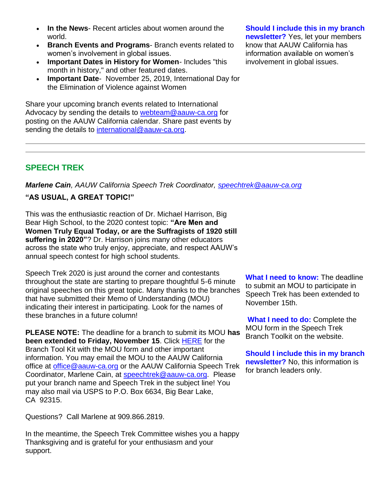- **In the News** Recent articles about women around the world.
- **Branch Events and Programs** Branch events related to women's involvement in global issues.
- **Important Dates in History for Women** Includes "this month in history," and other featured dates.
- **Important Date** November 25, 2019, International Day for the Elimination of Violence against Women

Share your upcoming branch events related to International Advocacy by sending the details to [webteam@aauw-ca.org](mailto:webteam@aauw-ca.org) for posting on the AAUW California calendar. Share past events by sending the details to [international@aauw-ca.org.](mailto:international@aauw-ca.org)

## **Should I include this in my branch**

**newsletter?** Yes, let your members know that AAUW California has information available on women's involvement in global issues.

# **SPEECH TREK**

*Marlene Cain, AAUW California Speech Trek Coordinator, [speechtrek@aauw-ca.org](mailto:speechtrek@aauw-ca.org)*

#### **"AS USUAL, A GREAT TOPIC!"**

This was the enthusiastic reaction of Dr. Michael Harrison, Big Bear High School, to the 2020 contest topic: **"Are Men and Women Truly Equal Today, or are the Suffragists of 1920 still suffering in 2020"**? Dr. Harrison joins many other educators across the state who truly enjoy, appreciate, and respect AAUW's annual speech contest for high school students.

Speech Trek 2020 is just around the corner and contestants throughout the state are starting to prepare thoughtful 5-6 minute original speeches on this great topic. Many thanks to the branches that have submitted their Memo of Understanding (MOU) indicating their interest in participating. Look for the names of these branches in a future column!

**PLEASE NOTE:** The deadline for a branch to submit its MOU **has been extended to Friday, November 15**. Click [HERE](https://bor.aauw-ca.org/sendy/l/YlrJ763AeyF892b51vFm0EptRw/lLhSRcOG3OvLoa086JFARA/UHY51loOZIWMLQloxJyhng) for the Branch Tool Kit with the MOU form and other important information. You may email the MOU to the AAUW California office at [office@aauw-ca.org](mailto:office@aauw-ca.org) or the AAUW California Speech Trek Coordinator, Marlene Cain, at [speechtrek@aauw-ca.org.](mailto:speechtrek@aauw-ca.org) Please put your branch name and Speech Trek in the subject line! You may also mail via USPS to P.O. Box 6634, Big Bear Lake, CA 92315.

Questions? Call Marlene at 909.866.2819.

In the meantime, the Speech Trek Committee wishes you a happy Thanksgiving and is grateful for your enthusiasm and your support.

**What I need to know:** The deadline to submit an MOU to participate in Speech Trek has been extended to November 15th.

**What I need to do:** Complete the MOU form in the Speech Trek Branch Toolkit on the website.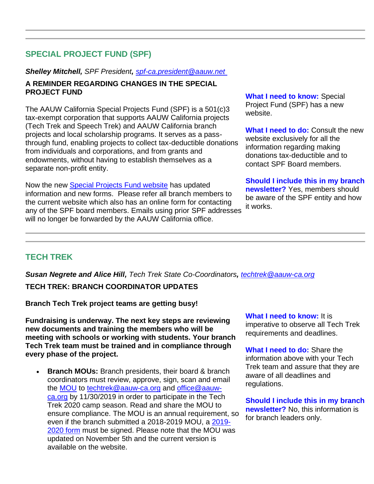# **SPECIAL PROJECT FUND (SPF)**

#### *Shelley Mitchell, SPF President, [spf-ca.president@aauw.net](mailto:spfund@aauw-ca.org)*

#### **A REMINDER REGARDING CHANGES IN THE SPECIAL PROJECT FUND**

The AAUW California Special Projects Fund (SPF) is a 501(c)3 tax-exempt corporation that supports AAUW California projects (Tech Trek and Speech Trek) and AAUW California branch projects and local scholarship programs. It serves as a passthrough fund, enabling projects to collect tax-deductible donations from individuals and corporations, and from grants and endowments, without having to establish themselves as a separate non-profit entity.

Now the new [Special Projects Fund website](https://bor.aauw-ca.org/sendy/l/YlrJ763AeyF892b51vFm0EptRw/yxBPCj5qY5lku763miVlfTyw/UHY51loOZIWMLQloxJyhng) has updated information and new forms. Please refer all branch members to the current website which also has an online form for contacting any of the SPF board members. Emails using prior SPF addresses will no longer be forwarded by the AAUW California office.

**What I need to know:** Special Project Fund (SPF) has a new website.

**What I need to do:** Consult the new website exclusively for all the information regarding making donations tax-deductible and to contact SPF Board members.

**Should I include this in my branch newsletter?** Yes, members should be aware of the SPF entity and how it works.

## **TECH TREK**

*Susan Negrete and Alice Hill, Tech Trek State Co-Coordinators, [techtrek@aauw-ca.org](mailto:techtrek@aauw-ca.org)* **TECH TREK: BRANCH COORDINATOR UPDATES**

**Branch Tech Trek project teams are getting busy!**

**Fundraising is underway. The next key steps are reviewing new documents and training the members who will be meeting with schools or working with students. Your branch Tech Trek team must be trained and in compliance through every phase of the project.**

• **Branch MOUs:** Branch presidents, their board & branch coordinators must review, approve, sign, scan and email the [MOU](https://bor.aauw-ca.org/sendy/l/YlrJ763AeyF892b51vFm0EptRw/1yHOO763ff5v4FUzOScmAKlg/UHY51loOZIWMLQloxJyhng) to [techtrek@aauw-ca.org](mailto:techtrek@aauw-ca.org) and [office@aauw](mailto:office@aauw-ca.org)[ca.org](mailto:office@aauw-ca.org) by 11/30/2019 in order to participate in the Tech Trek 2020 camp season. Read and share the MOU to ensure compliance. The MOU is an annual requirement, so even if the branch submitted a 2018-2019 MOU, a [2019-](https://bor.aauw-ca.org/sendy/l/YlrJ763AeyF892b51vFm0EptRw/1yHOO763ff5v4FUzOScmAKlg/UHY51loOZIWMLQloxJyhng) [2020 form](https://bor.aauw-ca.org/sendy/l/YlrJ763AeyF892b51vFm0EptRw/1yHOO763ff5v4FUzOScmAKlg/UHY51loOZIWMLQloxJyhng) must be signed. Please note that the MOU was updated on November 5th and the current version is available on the website.

**What I need to know:** It is imperative to observe all Tech Trek requirements and deadlines.

**What I need to do:** Share the information above with your Tech Trek team and assure that they are aware of all deadlines and regulations.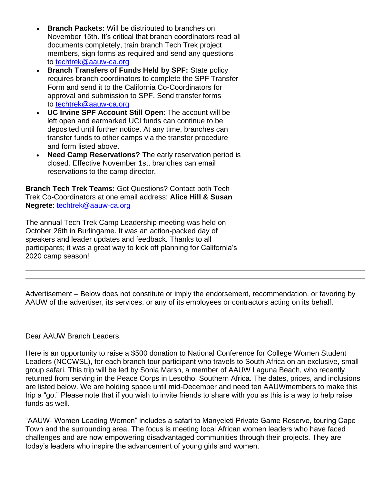- **Branch Packets:** Will be distributed to branches on November 15th. It's critical that branch coordinators read all documents completely, train branch Tech Trek project members, sign forms as required and send any questions to [techtrek@aauw-ca.org](mailto:techtrek@aauw-ca.org)
- **Branch Transfers of Funds Held by SPF: State policy** requires branch coordinators to complete the SPF Transfer Form and send it to the California Co-Coordinators for approval and submission to SPF. Send transfer forms to [techtrek@aauw-ca.org](mailto:techtrek@aauw-ca.org)
- **UC Irvine SPF Account Still Open**: The account will be left open and earmarked UCI funds can continue to be deposited until further notice. At any time, branches can transfer funds to other camps via the transfer procedure and form listed above.
- **Need Camp Reservations?** The early reservation period is closed. Effective November 1st, branches can email reservations to the camp director.

**Branch Tech Trek Teams:** Got Questions? Contact both Tech Trek Co-Coordinators at one email address: **Alice Hill & Susan Negrete**: [techtrek@aauw-ca.org](mailto:techtrek@aauw-ca.org)

The annual Tech Trek Camp Leadership meeting was held on October 26th in Burlingame. It was an action-packed day of speakers and leader updates and feedback. Thanks to all participants; it was a great way to kick off planning for California's 2020 camp season!

Advertisement – Below does not constitute or imply the endorsement, recommendation, or favoring by AAUW of the advertiser, its services, or any of its employees or contractors acting on its behalf.

## Dear AAUW Branch Leaders,

Here is an opportunity to raise a \$500 donation to National Conference for College Women Student Leaders (NCCWSL), for each branch tour participant who travels to South Africa on an exclusive, small group safari. This trip will be led by Sonia Marsh, a member of AAUW Laguna Beach, who recently returned from serving in the Peace Corps in Lesotho, Southern Africa. The dates, prices, and inclusions are listed below. We are holding space until mid-December and need ten AAUWmembers to make this trip a "go." Please note that if you wish to invite friends to share with you as this is a way to help raise funds as well.

"AAUW- Women Leading Women" includes a safari to Manyeleti Private Game Reserve, touring Cape Town and the surrounding area. The focus is meeting local African women leaders who have faced challenges and are now empowering disadvantaged communities through their projects. They are today's leaders who inspire the advancement of young girls and women.